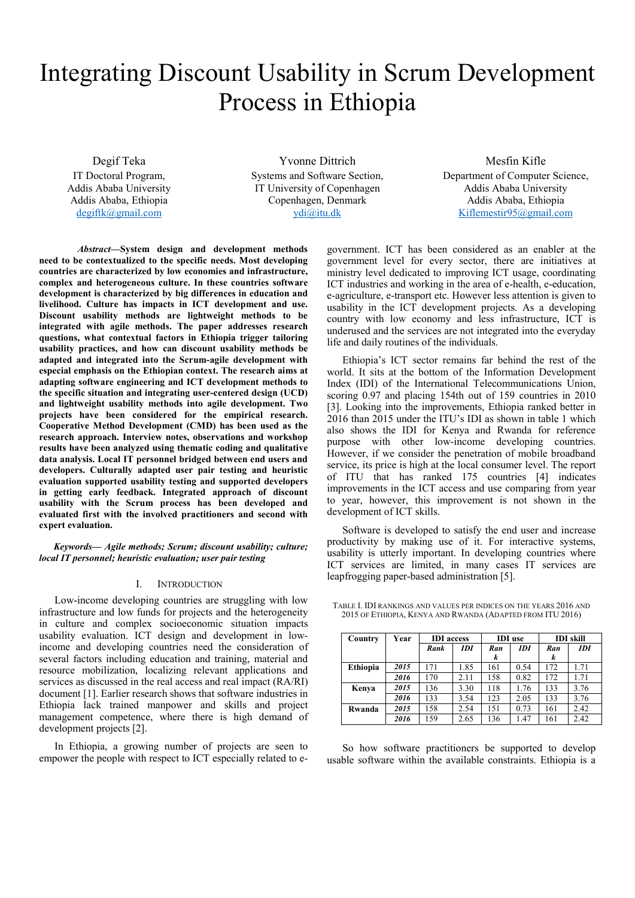# Integrating Discount Usability in Scrum Development Process in Ethiopia

Degif Teka

IT Doctoral Program, Addis Ababa University Addis Ababa, Ethiopia degiftk@gmail.com

Yvonne Dittrich Systems and Software Section, IT University of Copenhagen Copenhagen, Denmark ydi@itu.dk

Mesfin Kifle Department of Computer Science, Addis Ababa University Addis Ababa, Ethiopia Kiflemestir95@gmail.com

*Abstract***—System design and development methods need to be contextualized to the specific needs. Most developing countries are characterized by low economies and infrastructure, complex and heterogeneous culture. In these countries software development is characterized by big differences in education and livelihood. Culture has impacts in ICT development and use. Discount usability methods are lightweight methods to be integrated with agile methods. The paper addresses research questions, what contextual factors in Ethiopia trigger tailoring usability practices, and how can discount usability methods be adapted and integrated into the Scrum-agile development with especial emphasis on the Ethiopian context. The research aims at adapting software engineering and ICT development methods to the specific situation and integrating user-centered design (UCD) and lightweight usability methods into agile development. Two projects have been considered for the empirical research. Cooperative Method Development (CMD) has been used as the research approach. Interview notes, observations and workshop results have been analyzed using thematic coding and qualitative data analysis. Local IT personnel bridged between end users and developers. Culturally adapted user pair testing and heuristic evaluation supported usability testing and supported developers in getting early feedback. Integrated approach of discount usability with the Scrum process has been developed and evaluated first with the involved practitioners and second with expert evaluation.** 

*Keywords— Agile methods; Scrum; discount usability; culture; local IT personnel; heuristic evaluation; user pair testing* 

### I. INTRODUCTION

Low-income developing countries are struggling with low infrastructure and low funds for projects and the heterogeneity in culture and complex socioeconomic situation impacts usability evaluation. ICT design and development in lowincome and developing countries need the consideration of several factors including education and training, material and resource mobilization, localizing relevant applications and services as discussed in the real access and real impact (RA/RI) document [1]. Earlier research shows that software industries in Ethiopia lack trained manpower and skills and project management competence, where there is high demand of development projects [2].

In Ethiopia, a growing number of projects are seen to empower the people with respect to ICT especially related to e-

government. ICT has been considered as an enabler at the government level for every sector, there are initiatives at ministry level dedicated to improving ICT usage, coordinating ICT industries and working in the area of e-health, e-education, e-agriculture, e-transport etc. However less attention is given to usability in the ICT development projects. As a developing country with low economy and less infrastructure, ICT is underused and the services are not integrated into the everyday life and daily routines of the individuals.

Ethiopia's ICT sector remains far behind the rest of the world. It sits at the bottom of the Information Development Index (IDI) of the International Telecommunications Union, scoring 0.97 and placing 154th out of 159 countries in 2010 [3]. Looking into the improvements, Ethiopia ranked better in 2016 than 2015 under the ITU's IDI as shown in table 1 which also shows the IDI for Kenya and Rwanda for reference purpose with other low-income developing countries. However, if we consider the penetration of mobile broadband service, its price is high at the local consumer level. The report of ITU that has ranked 175 countries [4] indicates improvements in the ICT access and use comparing from year to year, however, this improvement is not shown in the development of ICT skills.

Software is developed to satisfy the end user and increase productivity by making use of it. For interactive systems, usability is utterly important. In developing countries where ICT services are limited, in many cases IT services are leapfrogging paper-based administration [5].

| Country         | Year | <b>IDI</b> access |            | <b>IDI</b> use |      | <b>IDI</b> skill |      |
|-----------------|------|-------------------|------------|----------------|------|------------------|------|
|                 |      | Rank              | <b>IDI</b> | Ran            | IDI  | Ran              | IDI  |
|                 |      |                   |            | k              |      | k                |      |
| <b>Ethiopia</b> | 2015 | 171               | 1.85       | 161            | 0.54 | 172              | 1.71 |
|                 | 2016 | 170               | 2.11       | 158            | 0.82 | 172              | 1.71 |
| Kenya           | 2015 | 136               | 3.30       | 118            | 1.76 | 133              | 3.76 |
|                 | 2016 | 133               | 3.54       | 123            | 2.05 | 133              | 3.76 |
| Rwanda          | 2015 | 158               | 2.54       | 151            | 0.73 | 161              | 2.42 |
|                 | 2016 | 159               | 2.65       | 136            | 1.47 | 161              | 2.42 |

TABLE I. IDI RANKINGS AND VALUES PER INDICES ON THE YEARS 2016 AND 2015 OF ETHIOPIA, KENYA AND RWANDA (ADAPTED FROM ITU 2016)

So how software practitioners be supported to develop usable software within the available constraints. Ethiopia is a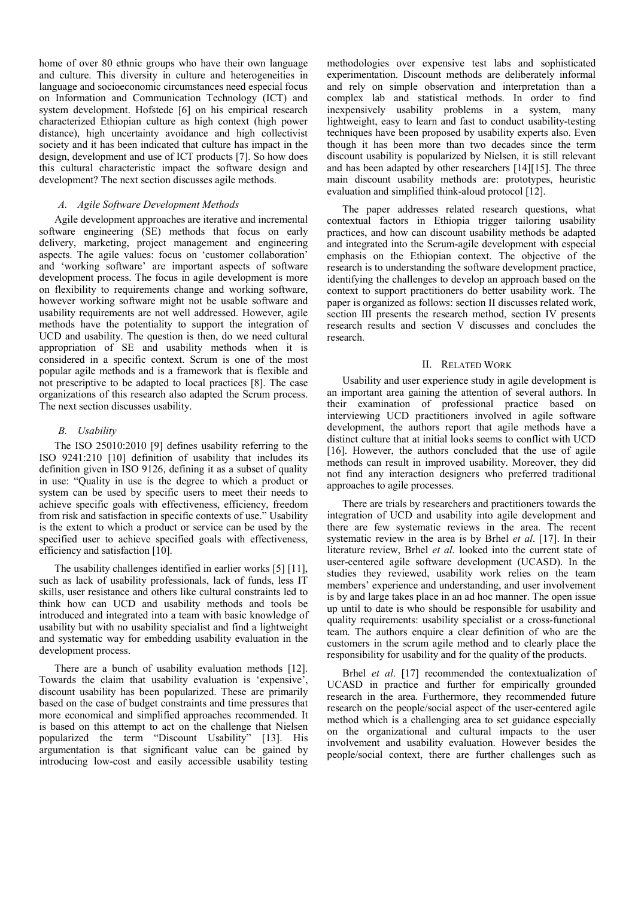home of over 80 ethnic groups who have their own language and culture. This diversity in culture and heterogeneities in language and socioeconomic circumstances need especial focus on Information and Communication Technology (ICT) and system development. Hofstede [6] on his empirical research characterized Ethiopian culture as high context (high power distance), high uncertainty avoidance and high collectivist society and it has been indicated that culture has impact in the design, development and use of ICT products [7]. So how does this cultural characteristic impact the software design and development? The next section discusses agile methods.

# *A. Agile Software Development Methods*

Agile development approaches are iterative and incremental software engineering (SE) methods that focus on early delivery, marketing, project management and engineering aspects. The agile values: focus on 'customer collaboration' and 'working software' are important aspects of software development process. The focus in agile development is more on flexibility to requirements change and working software, however working software might not be usable software and usability requirements are not well addressed. However, agile methods have the potentiality to support the integration of UCD and usability. The question is then, do we need cultural appropriation of SE and usability methods when it is considered in a specific context. Scrum is one of the most popular agile methods and is a framework that is flexible and not prescriptive to be adapted to local practices [8]. The case organizations of this research also adapted the Scrum process. The next section discusses usability.

# *B. Usability*

The ISO 25010:2010 [9] defines usability referring to the ISO 9241:210 [10] definition of usability that includes its definition given in ISO 9126, defining it as a subset of quality in use: "Quality in use is the degree to which a product or system can be used by specific users to meet their needs to achieve specific goals with effectiveness, efficiency, freedom from risk and satisfaction in specific contexts of use." Usability is the extent to which a product or service can be used by the specified user to achieve specified goals with effectiveness, efficiency and satisfaction [10].

The usability challenges identified in earlier works [5] [11], such as lack of usability professionals, lack of funds, less IT skills, user resistance and others like cultural constraints led to think how can UCD and usability methods and tools be introduced and integrated into a team with basic knowledge of usability but with no usability specialist and find a lightweight and systematic way for embedding usability evaluation in the development process.

There are a bunch of usability evaluation methods [12]. Towards the claim that usability evaluation is 'expensive', discount usability has been popularized. These are primarily based on the case of budget constraints and time pressures that more economical and simplified approaches recommended. It is based on this attempt to act on the challenge that Nielsen popularized the term "Discount Usability" [13]. His argumentation is that significant value can be gained by introducing low-cost and easily accessible usability testing

methodologies over expensive test labs and sophisticated experimentation. Discount methods are deliberately informal and rely on simple observation and interpretation than a complex lab and statistical methods. In order to find inexpensively usability problems in a system, many lightweight, easy to learn and fast to conduct usability-testing techniques have been proposed by usability experts also. Even though it has been more than two decades since the term discount usability is popularized by Nielsen, it is still relevant and has been adapted by other researchers [14][15]. The three main discount usability methods are: prototypes, heuristic evaluation and simplified think-aloud protocol [12].

The paper addresses related research questions, what contextual factors in Ethiopia trigger tailoring usability practices, and how can discount usability methods be adapted and integrated into the Scrum-agile development with especial emphasis on the Ethiopian context. The objective of the research is to understanding the software development practice, identifying the challenges to develop an approach based on the context to support practitioners do better usability work. The paper is organized as follows: section II discusses related work, section III presents the research method, section IV presents research results and section V discusses and concludes the research.

#### II. RELATED WORK

Usability and user experience study in agile development is an important area gaining the attention of several authors. In their examination of professional practice based on interviewing UCD practitioners involved in agile software development, the authors report that agile methods have a distinct culture that at initial looks seems to conflict with UCD [16]. However, the authors concluded that the use of agile methods can result in improved usability. Moreover, they did not find any interaction designers who preferred traditional approaches to agile processes.

There are trials by researchers and practitioners towards the integration of UCD and usability into agile development and there are few systematic reviews in the area. The recent systematic review in the area is by Brhel *et al*. [17]. In their literature review, Brhel *et al*. looked into the current state of user-centered agile software development (UCASD). In the studies they reviewed, usability work relies on the team members' experience and understanding, and user involvement is by and large takes place in an ad hoc manner. The open issue up until to date is who should be responsible for usability and quality requirements: usability specialist or a cross-functional team. The authors enquire a clear definition of who are the customers in the scrum agile method and to clearly place the responsibility for usability and for the quality of the products.

Brhel *et al*. [17] recommended the contextualization of UCASD in practice and further for empirically grounded research in the area. Furthermore, they recommended future research on the people/social aspect of the user-centered agile method which is a challenging area to set guidance especially on the organizational and cultural impacts to the user involvement and usability evaluation. However besides the people/social context, there are further challenges such as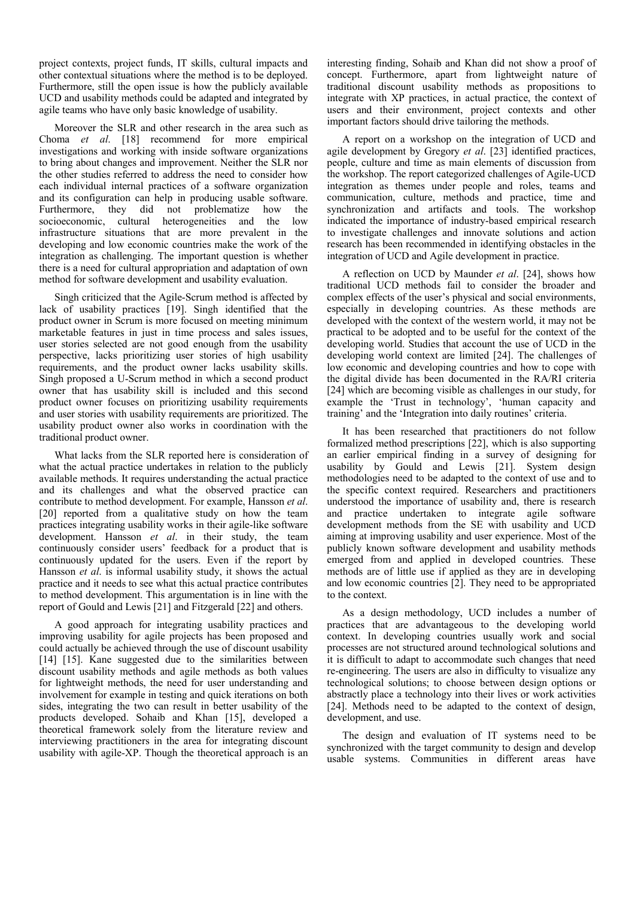project contexts, project funds, IT skills, cultural impacts and other contextual situations where the method is to be deployed. Furthermore, still the open issue is how the publicly available UCD and usability methods could be adapted and integrated by agile teams who have only basic knowledge of usability.

Moreover the SLR and other research in the area such as Choma *et al*. [18] recommend for more empirical investigations and working with inside software organizations to bring about changes and improvement. Neither the SLR nor the other studies referred to address the need to consider how each individual internal practices of a software organization and its configuration can help in producing usable software.<br>Furthermore, they did not problematize how the Furthermore, they did not problematize how the socioeconomic, cultural heterogeneities and the low infrastructure situations that are more prevalent in the developing and low economic countries make the work of the integration as challenging. The important question is whether there is a need for cultural appropriation and adaptation of own method for software development and usability evaluation.

Singh criticized that the Agile-Scrum method is affected by lack of usability practices [19]. Singh identified that the product owner in Scrum is more focused on meeting minimum marketable features in just in time process and sales issues, user stories selected are not good enough from the usability perspective, lacks prioritizing user stories of high usability requirements, and the product owner lacks usability skills. Singh proposed a U-Scrum method in which a second product owner that has usability skill is included and this second product owner focuses on prioritizing usability requirements and user stories with usability requirements are prioritized. The usability product owner also works in coordination with the traditional product owner.

What lacks from the SLR reported here is consideration of what the actual practice undertakes in relation to the publicly available methods. It requires understanding the actual practice and its challenges and what the observed practice can contribute to method development. For example, Hansson *et al*. [20] reported from a qualitative study on how the team practices integrating usability works in their agile-like software development. Hansson *et al*. in their study, the team continuously consider users' feedback for a product that is continuously updated for the users. Even if the report by Hansson *et al*. is informal usability study, it shows the actual practice and it needs to see what this actual practice contributes to method development. This argumentation is in line with the report of Gould and Lewis [21] and Fitzgerald [22] and others.

A good approach for integrating usability practices and improving usability for agile projects has been proposed and could actually be achieved through the use of discount usability [14] [15]. Kane suggested due to the similarities between discount usability methods and agile methods as both values for lightweight methods, the need for user understanding and involvement for example in testing and quick iterations on both sides, integrating the two can result in better usability of the products developed. Sohaib and Khan [15], developed a theoretical framework solely from the literature review and interviewing practitioners in the area for integrating discount usability with agile-XP. Though the theoretical approach is an

interesting finding, Sohaib and Khan did not show a proof of concept. Furthermore, apart from lightweight nature of traditional discount usability methods as propositions to integrate with XP practices, in actual practice, the context of users and their environment, project contexts and other important factors should drive tailoring the methods.

A report on a workshop on the integration of UCD and agile development by Gregory *et al*. [23] identified practices, people, culture and time as main elements of discussion from the workshop. The report categorized challenges of Agile-UCD integration as themes under people and roles, teams and communication, culture, methods and practice, time and synchronization and artifacts and tools. The workshop indicated the importance of industry-based empirical research to investigate challenges and innovate solutions and action research has been recommended in identifying obstacles in the integration of UCD and Agile development in practice.

A reflection on UCD by Maunder *et al*. [24], shows how traditional UCD methods fail to consider the broader and complex effects of the user's physical and social environments, especially in developing countries. As these methods are developed with the context of the western world, it may not be practical to be adopted and to be useful for the context of the developing world. Studies that account the use of UCD in the developing world context are limited [24]. The challenges of low economic and developing countries and how to cope with the digital divide has been documented in the RA/RI criteria [24] which are becoming visible as challenges in our study, for example the 'Trust in technology', 'human capacity and training' and the 'Integration into daily routines' criteria.

It has been researched that practitioners do not follow formalized method prescriptions [22], which is also supporting an earlier empirical finding in a survey of designing for usability by Gould and Lewis [21]. System design methodologies need to be adapted to the context of use and to the specific context required. Researchers and practitioners understood the importance of usability and, there is research and practice undertaken to integrate agile software development methods from the SE with usability and UCD aiming at improving usability and user experience. Most of the publicly known software development and usability methods emerged from and applied in developed countries. These methods are of little use if applied as they are in developing and low economic countries [2]. They need to be appropriated to the context.

As a design methodology, UCD includes a number of practices that are advantageous to the developing world context. In developing countries usually work and social processes are not structured around technological solutions and it is difficult to adapt to accommodate such changes that need re-engineering. The users are also in difficulty to visualize any technological solutions; to choose between design options or abstractly place a technology into their lives or work activities [24]. Methods need to be adapted to the context of design, development, and use.

The design and evaluation of IT systems need to be synchronized with the target community to design and develop usable systems. Communities in different areas have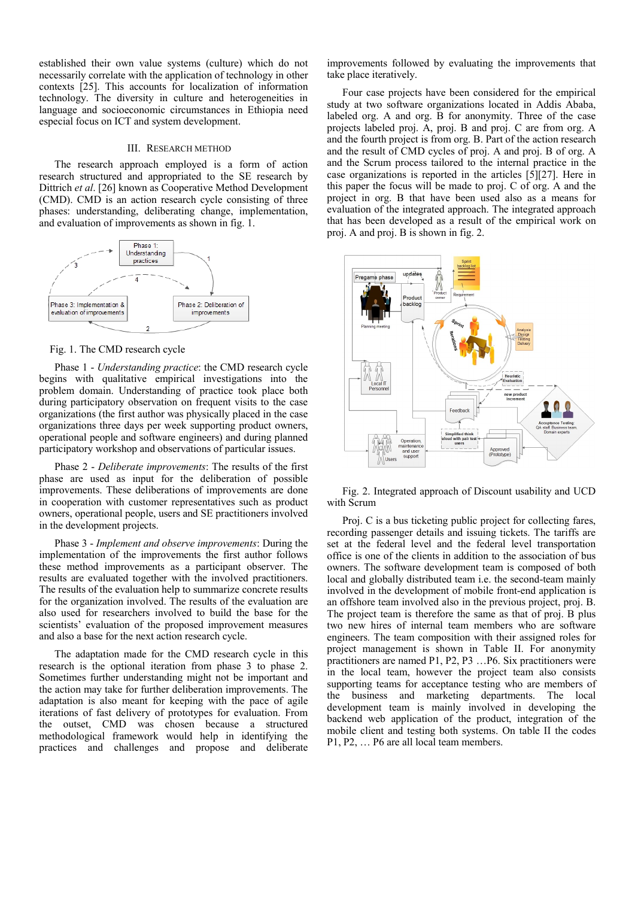established their own value systems (culture) which do not necessarily correlate with the application of technology in other contexts [25]. This accounts for localization of information technology. The diversity in culture and heterogeneities in language and socioeconomic circumstances in Ethiopia need especial focus on ICT and system development.

#### III. RESEARCH METHOD

The research approach employed is a form of action research structured and appropriated to the SE research by Dittrich *et al*. [26] known as Cooperative Method Development (CMD). CMD is an action research cycle consisting of three phases: understanding, deliberating change, implementation, and evaluation of improvements as shown in fig. 1.



#### Fig. 1. The CMD research cycle

Phase 1 - *Understanding practice*: the CMD research cycle begins with qualitative empirical investigations into the problem domain. Understanding of practice took place both during participatory observation on frequent visits to the case organizations (the first author was physically placed in the case organizations three days per week supporting product owners, operational people and software engineers) and during planned participatory workshop and observations of particular issues.

Phase 2 - *Deliberate improvements*: The results of the first phase are used as input for the deliberation of possible improvements. These deliberations of improvements are done in cooperation with customer representatives such as product owners, operational people, users and SE practitioners involved in the development projects.

Phase 3 - *Implement and observe improvements*: During the implementation of the improvements the first author follows these method improvements as a participant observer. The results are evaluated together with the involved practitioners. The results of the evaluation help to summarize concrete results for the organization involved. The results of the evaluation are also used for researchers involved to build the base for the scientists' evaluation of the proposed improvement measures and also a base for the next action research cycle.

The adaptation made for the CMD research cycle in this research is the optional iteration from phase 3 to phase 2. Sometimes further understanding might not be important and the action may take for further deliberation improvements. The adaptation is also meant for keeping with the pace of agile iterations of fast delivery of prototypes for evaluation. From the outset, CMD was chosen because a structured methodological framework would help in identifying the practices and challenges and propose and deliberate improvements followed by evaluating the improvements that take place iteratively.

Four case projects have been considered for the empirical study at two software organizations located in Addis Ababa, labeled org. A and org. B for anonymity. Three of the case projects labeled proj. A, proj. B and proj. C are from org. A and the fourth project is from org. B. Part of the action research and the result of CMD cycles of proj. A and proj. B of org. A and the Scrum process tailored to the internal practice in the case organizations is reported in the articles [5][27]. Here in this paper the focus will be made to proj. C of org. A and the project in org. B that have been used also as a means for evaluation of the integrated approach. The integrated approach that has been developed as a result of the empirical work on proj. A and proj. B is shown in fig. 2.



Fig. 2. Integrated approach of Discount usability and UCD with Scrum

Proj. C is a bus ticketing public project for collecting fares, recording passenger details and issuing tickets. The tariffs are set at the federal level and the federal level transportation office is one of the clients in addition to the association of bus owners. The software development team is composed of both local and globally distributed team i.e. the second-team mainly involved in the development of mobile front-end application is an offshore team involved also in the previous project, proj. B. The project team is therefore the same as that of proj. B plus two new hires of internal team members who are software engineers. The team composition with their assigned roles for project management is shown in Table II. For anonymity practitioners are named P1, P2, P3 …P6. Six practitioners were in the local team, however the project team also consists supporting teams for acceptance testing who are members of the business and marketing departments. The local development team is mainly involved in developing the backend web application of the product, integration of the mobile client and testing both systems. On table II the codes P1, P2, … P6 are all local team members.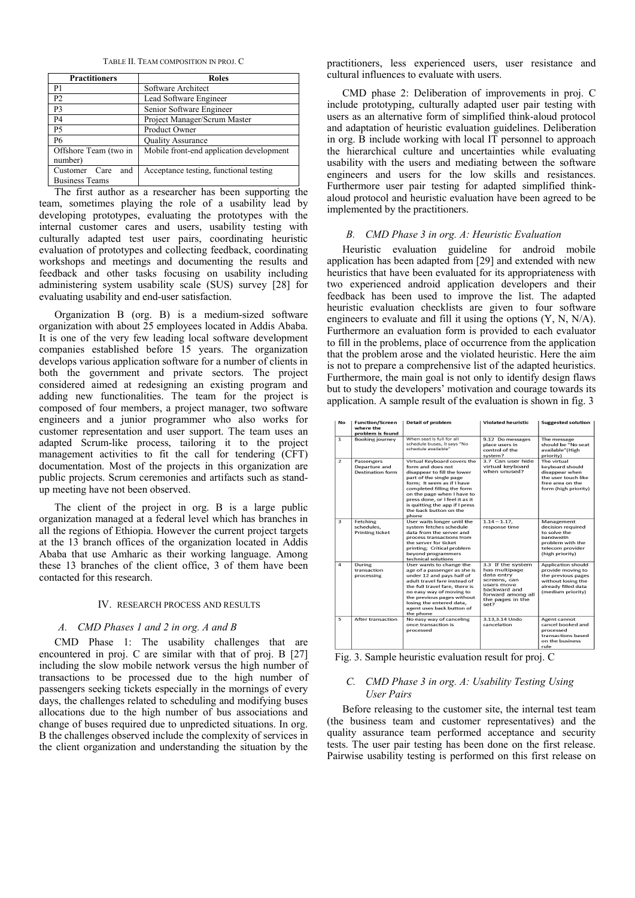TABLE II. TEAM COMPOSITION IN PROJ. C

| <b>Practitioners</b>                             | <b>Roles</b>                             |
|--------------------------------------------------|------------------------------------------|
| P1                                               | Software Architect                       |
| P <sub>2</sub>                                   | Lead Software Engineer                   |
| P <sub>3</sub>                                   | Senior Software Engineer                 |
| P4                                               | Project Manager/Scrum Master             |
| <b>P5</b>                                        | Product Owner                            |
| <b>P6</b>                                        | <b>Quality Assurance</b>                 |
| Offshore Team (two in<br>number)                 | Mobile front-end application development |
| and<br>Customer<br>Care<br><b>Business Teams</b> | Acceptance testing, functional testing   |

The first author as a researcher has been supporting the team, sometimes playing the role of a usability lead by developing prototypes, evaluating the prototypes with the internal customer cares and users, usability testing with culturally adapted test user pairs, coordinating heuristic evaluation of prototypes and collecting feedback, coordinating workshops and meetings and documenting the results and feedback and other tasks focusing on usability including administering system usability scale (SUS) survey [28] for evaluating usability and end-user satisfaction.

Organization B (org. B) is a medium-sized software organization with about 25 employees located in Addis Ababa. It is one of the very few leading local software development companies established before 15 years. The organization develops various application software for a number of clients in both the government and private sectors. The project considered aimed at redesigning an existing program and adding new functionalities. The team for the project is composed of four members, a project manager, two software engineers and a junior programmer who also works for customer representation and user support. The team uses an adapted Scrum-like process, tailoring it to the project management activities to fit the call for tendering (CFT) documentation. Most of the projects in this organization are public projects. Scrum ceremonies and artifacts such as standup meeting have not been observed.

The client of the project in org. B is a large public organization managed at a federal level which has branches in all the regions of Ethiopia. However the current project targets at the 13 branch offices of the organization located in Addis Ababa that use Amharic as their working language. Among these 13 branches of the client office, 3 of them have been contacted for this research.

# IV. RESEARCH PROCESS AND RESULTS

#### *A. CMD Phases 1 and 2 in org. A and B*

CMD Phase 1: The usability challenges that are encountered in proj. C are similar with that of proj. B [27] including the slow mobile network versus the high number of transactions to be processed due to the high number of passengers seeking tickets especially in the mornings of every days, the challenges related to scheduling and modifying buses allocations due to the high number of bus associations and change of buses required due to unpredicted situations. In org. B the challenges observed include the complexity of services in the client organization and understanding the situation by the

practitioners, less experienced users, user resistance and cultural influences to evaluate with users.

CMD phase 2: Deliberation of improvements in proj. C include prototyping, culturally adapted user pair testing with users as an alternative form of simplified think-aloud protocol and adaptation of heuristic evaluation guidelines. Deliberation in org. B include working with local IT personnel to approach the hierarchical culture and uncertainties while evaluating usability with the users and mediating between the software engineers and users for the low skills and resistances. Furthermore user pair testing for adapted simplified thinkaloud protocol and heuristic evaluation have been agreed to be implemented by the practitioners.

### *B. CMD Phase 3 in org. A: Heuristic Evaluation*

Heuristic evaluation guideline for android mobile application has been adapted from [29] and extended with new heuristics that have been evaluated for its appropriateness with two experienced android application developers and their feedback has been used to improve the list. The adapted heuristic evaluation checklists are given to four software engineers to evaluate and fill it using the options (Y, N, N/A). Furthermore an evaluation form is provided to each evaluator to fill in the problems, place of occurrence from the application that the problem arose and the violated heuristic. Here the aim is not to prepare a comprehensive list of the adapted heuristics. Furthermore, the main goal is not only to identify design flaws but to study the developers' motivation and courage towards its application. A sample result of the evaluation is shown in fig. 3

| No             | <b>Function/Screen</b><br>where the<br>problem is found | <b>Detail of problem</b>                                                                                                                                                                                                                                                                                    | <b>Violated heuristic</b>                                                                                                                       | <b>Suggested solution</b>                                                                                                              |
|----------------|---------------------------------------------------------|-------------------------------------------------------------------------------------------------------------------------------------------------------------------------------------------------------------------------------------------------------------------------------------------------------------|-------------------------------------------------------------------------------------------------------------------------------------------------|----------------------------------------------------------------------------------------------------------------------------------------|
| $\mathbf{1}$   | <b>Booking journey</b>                                  | When seat is full for all<br>schedule buses, it says "No<br>schedule available"                                                                                                                                                                                                                             | 9.12 Do messages<br>place users in<br>control of the<br>system?                                                                                 | The message<br>should be "No seat<br>available" (High<br>priority)                                                                     |
| $\overline{2}$ | Passengers<br>Departure and<br><b>Destination form</b>  | Virtual Keyboard covers the<br>form and does not<br>disappear to fill the lower<br>part of the single page<br>form; It seem as if I have<br>completed filling the form<br>on the page when I have to<br>press done, or I feel it as it<br>is quitting the app if I press<br>the back button on the<br>phone | 3.7 Can user hide<br>virtual keyboard<br>when unused?                                                                                           | The virtual<br>keyboard should<br>disappear when<br>the user touch like<br>free area on the<br>form (high priority)                    |
| 3              | Fetching<br>schedules,<br><b>Printing ticket</b>        | User waits longer until the<br>system fetches schedule<br>data from the server and<br>process transactions from<br>the server for ticket<br>printing; Critical problem<br>beyond programmers<br>technical solutions                                                                                         | $1.14 - 1.17$ ,<br>response time                                                                                                                | Management<br>decision required<br>to solve the<br>bandwidth<br>problem with the<br>telecom provider<br>(high priority)                |
| $\overline{4}$ | During<br>transaction<br>processing                     | User wants to change the<br>age of a passenger as she is<br>under 12 and pays half of<br>adult travel fare instead of<br>the full travel fare, there is<br>no easy way of moving to<br>the previous pages without<br>losing the entered data.<br>agent uses back button of<br>the phone                     | 3.3 If the system<br>has multipage<br>data entry<br>screens, can<br>users move<br>backward and<br>forward among all<br>the pages in the<br>set? | <b>Application should</b><br>provide moving to<br>the previous pages<br>without losing the<br>already filled data<br>(medium priority) |
| $\overline{5}$ | After transaction                                       | No easy way of canceling<br>once transaction is<br>processed                                                                                                                                                                                                                                                | 3.13.3.14 Undo<br>cancelation                                                                                                                   | Agent cannot<br>cancel booked and<br>processed<br>transactions based<br>on the business<br>rule                                        |

Fig. 3. Sample heuristic evaluation result for proj. C

# *C. CMD Phase 3 in org. A: Usability Testing Using User Pairs*

Before releasing to the customer site, the internal test team (the business team and customer representatives) and the quality assurance team performed acceptance and security tests. The user pair testing has been done on the first release. Pairwise usability testing is performed on this first release on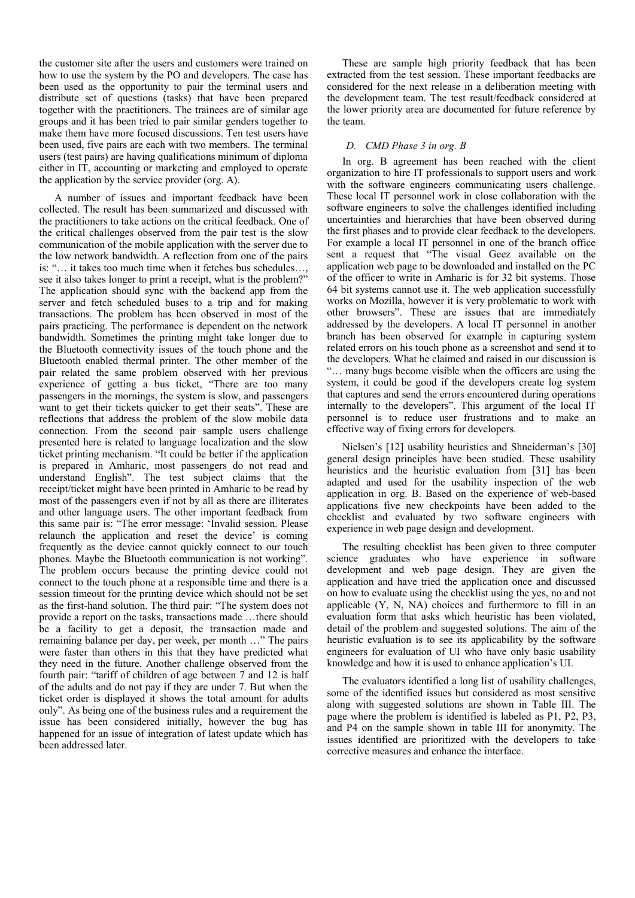the customer site after the users and customers were trained on how to use the system by the PO and developers. The case has been used as the opportunity to pair the terminal users and distribute set of questions (tasks) that have been prepared together with the practitioners. The trainees are of similar age groups and it has been tried to pair similar genders together to make them have more focused discussions. Ten test users have been used, five pairs are each with two members. The terminal users (test pairs) are having qualifications minimum of diploma either in IT, accounting or marketing and employed to operate the application by the service provider (org. A).

A number of issues and important feedback have been collected. The result has been summarized and discussed with the practitioners to take actions on the critical feedback. One of the critical challenges observed from the pair test is the slow communication of the mobile application with the server due to the low network bandwidth. A reflection from one of the pairs is: "… it takes too much time when it fetches bus schedules…, see it also takes longer to print a receipt, what is the problem?" The application should sync with the backend app from the server and fetch scheduled buses to a trip and for making transactions. The problem has been observed in most of the pairs practicing. The performance is dependent on the network bandwidth. Sometimes the printing might take longer due to the Bluetooth connectivity issues of the touch phone and the Bluetooth enabled thermal printer. The other member of the pair related the same problem observed with her previous experience of getting a bus ticket, "There are too many passengers in the mornings, the system is slow, and passengers want to get their tickets quicker to get their seats". These are reflections that address the problem of the slow mobile data connection. From the second pair sample users challenge presented here is related to language localization and the slow ticket printing mechanism. "It could be better if the application is prepared in Amharic, most passengers do not read and understand English". The test subject claims that the receipt/ticket might have been printed in Amharic to be read by most of the passengers even if not by all as there are illiterates and other language users. The other important feedback from this same pair is: "The error message: 'Invalid session. Please relaunch the application and reset the device' is coming frequently as the device cannot quickly connect to our touch phones. Maybe the Bluetooth communication is not working". The problem occurs because the printing device could not connect to the touch phone at a responsible time and there is a session timeout for the printing device which should not be set as the first-hand solution. The third pair: "The system does not provide a report on the tasks, transactions made …there should be a facility to get a deposit, the transaction made and remaining balance per day, per week, per month …" The pairs were faster than others in this that they have predicted what they need in the future. Another challenge observed from the fourth pair: "tariff of children of age between 7 and 12 is half of the adults and do not pay if they are under 7. But when the ticket order is displayed it shows the total amount for adults only". As being one of the business rules and a requirement the issue has been considered initially, however the bug has happened for an issue of integration of latest update which has been addressed later.

These are sample high priority feedback that has been extracted from the test session. These important feedbacks are considered for the next release in a deliberation meeting with the development team. The test result/feedback considered at the lower priority area are documented for future reference by the team.

# *D. CMD Phase 3 in org. B*

In org. B agreement has been reached with the client organization to hire IT professionals to support users and work with the software engineers communicating users challenge. These local IT personnel work in close collaboration with the software engineers to solve the challenges identified including uncertainties and hierarchies that have been observed during the first phases and to provide clear feedback to the developers. For example a local IT personnel in one of the branch office sent a request that "The visual Geez available on the application web page to be downloaded and installed on the PC of the officer to write in Amharic is for 32 bit systems. Those 64 bit systems cannot use it. The web application successfully works on Mozilla, however it is very problematic to work with other browsers". These are issues that are immediately addressed by the developers. A local IT personnel in another branch has been observed for example in capturing system related errors on his touch phone as a screenshot and send it to the developers. What he claimed and raised in our discussion is "… many bugs become visible when the officers are using the system, it could be good if the developers create log system that captures and send the errors encountered during operations internally to the developers". This argument of the local IT personnel is to reduce user frustrations and to make an effective way of fixing errors for developers.

Nielsen's [12] usability heuristics and Shneiderman's [30] general design principles have been studied. These usability heuristics and the heuristic evaluation from [31] has been adapted and used for the usability inspection of the web application in org. B. Based on the experience of web-based applications five new checkpoints have been added to the checklist and evaluated by two software engineers with experience in web page design and development.

The resulting checklist has been given to three computer science graduates who have experience in software development and web page design. They are given the application and have tried the application once and discussed on how to evaluate using the checklist using the yes, no and not applicable (Y, N, NA) choices and furthermore to fill in an evaluation form that asks which heuristic has been violated, detail of the problem and suggested solutions. The aim of the heuristic evaluation is to see its applicability by the software engineers for evaluation of UI who have only basic usability knowledge and how it is used to enhance application's UI.

The evaluators identified a long list of usability challenges, some of the identified issues but considered as most sensitive along with suggested solutions are shown in Table III. The page where the problem is identified is labeled as P1, P2, P3, and P4 on the sample shown in table III for anonymity. The issues identified are prioritized with the developers to take corrective measures and enhance the interface.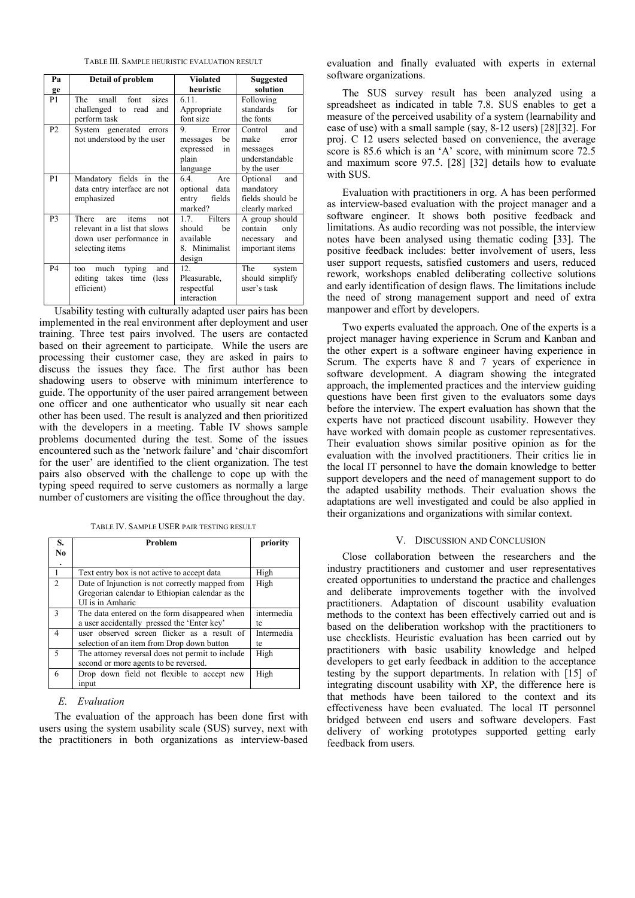TABLE III. SAMPLE HEURISTIC EVALUATION RESULT

| Pа             | Detail of problem                                                                                      | <b>Violated</b>                                                       | Suggested                                                                    |  |
|----------------|--------------------------------------------------------------------------------------------------------|-----------------------------------------------------------------------|------------------------------------------------------------------------------|--|
| ge             |                                                                                                        | heuristic                                                             | solution                                                                     |  |
| P1             | The small font sizes<br>challenged to read<br>and<br>perform task                                      | 6.11.<br>Appropriate<br>font size                                     | Following<br>standards<br>for<br>the fonts                                   |  |
| P <sub>2</sub> | System generated errors<br>not understood by the user                                                  | Error<br>9.<br>be<br>messages<br>expressed<br>in<br>plain<br>language | Control<br>and<br>make<br>error<br>messages<br>understandable<br>by the user |  |
| P <sub>1</sub> | Mandatory fields in the<br>data entry interface are not<br>emphasized                                  | 6.4<br>Are<br>optional data<br>fields<br>entry<br>marked?             | Optional<br>and<br>mandatory<br>fields should be<br>clearly marked           |  |
| P <sub>3</sub> | There are items<br>not<br>relevant in a list that slows<br>down user performance in<br>selecting items | 1.7. Filters<br>should<br>be<br>available<br>8. Minimalist<br>design  | A group should<br>contain<br>only<br>and<br>necessary<br>important items     |  |
| <b>P4</b>      | much typing<br>and<br>too<br>editing takes time<br>(less)<br>efficient)                                | 12 <sup>2</sup><br>Pleasurable,<br>respectful<br>interaction          | The system<br>should simplify<br>user's task                                 |  |

Usability testing with culturally adapted user pairs has been implemented in the real environment after deployment and user training. Three test pairs involved. The users are contacted based on their agreement to participate. While the users are processing their customer case, they are asked in pairs to discuss the issues they face. The first author has been shadowing users to observe with minimum interference to guide. The opportunity of the user paired arrangement between one officer and one authenticator who usually sit near each other has been used. The result is analyzed and then prioritized with the developers in a meeting. Table IV shows sample problems documented during the test. Some of the issues encountered such as the 'network failure' and 'chair discomfort for the user' are identified to the client organization. The test pairs also observed with the challenge to cope up with the typing speed required to serve customers as normally a large number of customers are visiting the office throughout the day.

TABLE IV. SAMPLE USER PAIR TESTING RESULT

| S.<br>No                 | <b>Problem</b>                                                                                                         | priority         |
|--------------------------|------------------------------------------------------------------------------------------------------------------------|------------------|
| 1                        | Text entry box is not active to accept data                                                                            | High             |
| $\mathcal{D}_{\alpha}$   | Date of Injunction is not correctly mapped from<br>Gregorian calendar to Ethiopian calendar as the<br>UI is in Amharic | High             |
| $\mathcal{E}$            | The data entered on the form disappeared when<br>a user accidentally pressed the 'Enter key'                           | intermedia<br>te |
| $\overline{4}$           | user observed screen flicker as a result of<br>selection of an item from Drop down button                              | Intermedia<br>te |
| $\overline{\phantom{1}}$ | The attorney reversal does not permit to include<br>second or more agents to be reversed.                              | High             |
| 6                        | Drop down field not flexible to accept new<br>input                                                                    | High             |

#### *E. Evaluation*

The evaluation of the approach has been done first with users using the system usability scale (SUS) survey, next with the practitioners in both organizations as interview-based evaluation and finally evaluated with experts in external software organizations.

The SUS survey result has been analyzed using a spreadsheet as indicated in table 7.8. SUS enables to get a measure of the perceived usability of a system (learnability and ease of use) with a small sample (say, 8-12 users) [28][32]. For proj. C 12 users selected based on convenience, the average score is 85.6 which is an 'A' score, with minimum score 72.5 and maximum score 97.5. [28] [32] details how to evaluate with SUS.

Evaluation with practitioners in org. A has been performed as interview-based evaluation with the project manager and a software engineer. It shows both positive feedback and limitations. As audio recording was not possible, the interview notes have been analysed using thematic coding [33]. The positive feedback includes: better involvement of users, less user support requests, satisfied customers and users, reduced rework, workshops enabled deliberating collective solutions and early identification of design flaws. The limitations include the need of strong management support and need of extra manpower and effort by developers.

Two experts evaluated the approach. One of the experts is a project manager having experience in Scrum and Kanban and the other expert is a software engineer having experience in Scrum. The experts have 8 and 7 years of experience in software development. A diagram showing the integrated approach, the implemented practices and the interview guiding questions have been first given to the evaluators some days before the interview. The expert evaluation has shown that the experts have not practiced discount usability. However they have worked with domain people as customer representatives. Their evaluation shows similar positive opinion as for the evaluation with the involved practitioners. Their critics lie in the local IT personnel to have the domain knowledge to better support developers and the need of management support to do the adapted usability methods. Their evaluation shows the adaptations are well investigated and could be also applied in their organizations and organizations with similar context.

#### V. DISCUSSION AND CONCLUSION

Close collaboration between the researchers and the industry practitioners and customer and user representatives created opportunities to understand the practice and challenges and deliberate improvements together with the involved practitioners. Adaptation of discount usability evaluation methods to the context has been effectively carried out and is based on the deliberation workshop with the practitioners to use checklists. Heuristic evaluation has been carried out by practitioners with basic usability knowledge and helped developers to get early feedback in addition to the acceptance testing by the support departments. In relation with [15] of integrating discount usability with XP, the difference here is that methods have been tailored to the context and its effectiveness have been evaluated. The local IT personnel bridged between end users and software developers. Fast delivery of working prototypes supported getting early feedback from users.